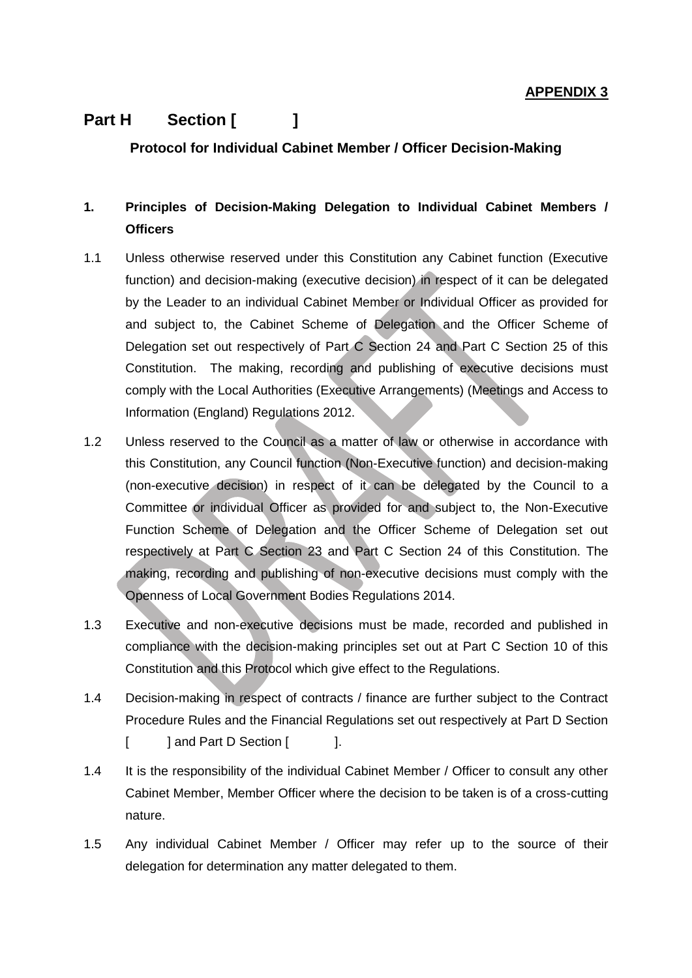## **APPENDIX 3**

## **Part H Section [ ]**

**Protocol for Individual Cabinet Member / Officer Decision-Making**

## **1. Principles of Decision-Making Delegation to Individual Cabinet Members / Officers**

- 1.1 Unless otherwise reserved under this Constitution any Cabinet function (Executive function) and decision-making (executive decision) in respect of it can be delegated by the Leader to an individual Cabinet Member or Individual Officer as provided for and subject to, the Cabinet Scheme of Delegation and the Officer Scheme of Delegation set out respectively of Part C Section 24 and Part C Section 25 of this Constitution. The making, recording and publishing of executive decisions must comply with the Local Authorities (Executive Arrangements) (Meetings and Access to Information (England) Regulations 2012.
- 1.2 Unless reserved to the Council as a matter of law or otherwise in accordance with this Constitution, any Council function (Non-Executive function) and decision-making (non-executive decision) in respect of it can be delegated by the Council to a Committee or individual Officer as provided for and subject to, the Non-Executive Function Scheme of Delegation and the Officer Scheme of Delegation set out respectively at Part C Section 23 and Part C Section 24 of this Constitution. The making, recording and publishing of non-executive decisions must comply with the Openness of Local Government Bodies Regulations 2014.
- 1.3 Executive and non-executive decisions must be made, recorded and published in compliance with the decision-making principles set out at Part C Section 10 of this Constitution and this Protocol which give effect to the Regulations.
- 1.4 Decision-making in respect of contracts / finance are further subject to the Contract Procedure Rules and the Financial Regulations set out respectively at Part D Section [ ] and Part D Section [ ].
- 1.4 It is the responsibility of the individual Cabinet Member / Officer to consult any other Cabinet Member, Member Officer where the decision to be taken is of a cross-cutting nature.
- 1.5 Any individual Cabinet Member / Officer may refer up to the source of their delegation for determination any matter delegated to them.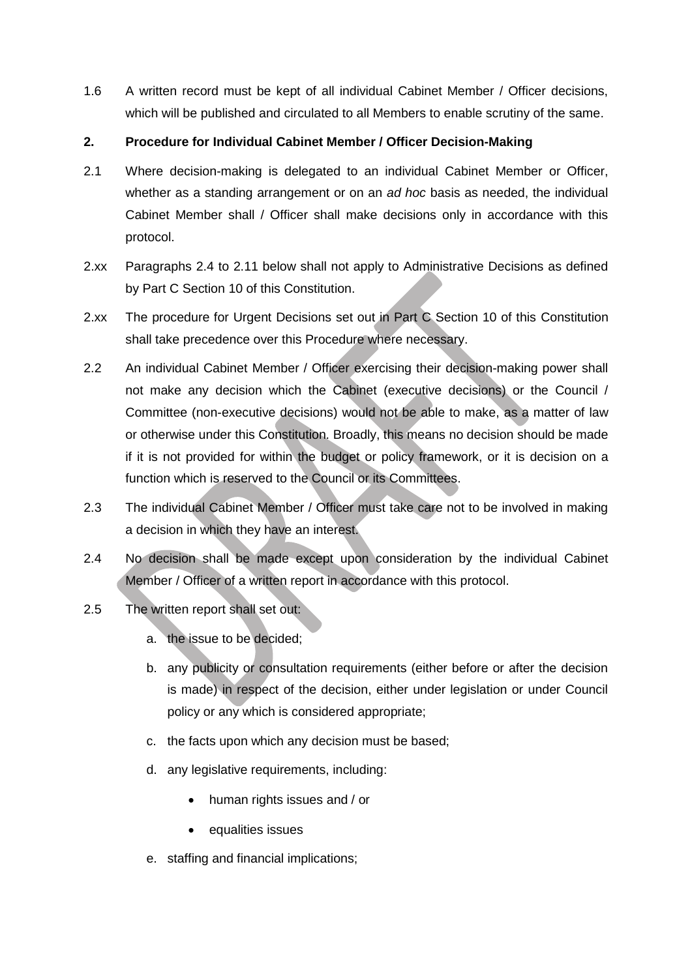1.6 A written record must be kept of all individual Cabinet Member / Officer decisions, which will be published and circulated to all Members to enable scrutiny of the same.

## **2. Procedure for Individual Cabinet Member / Officer Decision-Making**

- 2.1 Where decision-making is delegated to an individual Cabinet Member or Officer, whether as a standing arrangement or on an *ad hoc* basis as needed, the individual Cabinet Member shall / Officer shall make decisions only in accordance with this protocol.
- 2.xx Paragraphs 2.4 to 2.11 below shall not apply to Administrative Decisions as defined by Part C Section 10 of this Constitution.
- 2.xx The procedure for Urgent Decisions set out in Part C Section 10 of this Constitution shall take precedence over this Procedure where necessary.
- 2.2 An individual Cabinet Member / Officer exercising their decision-making power shall not make any decision which the Cabinet (executive decisions) or the Council / Committee (non-executive decisions) would not be able to make, as a matter of law or otherwise under this Constitution. Broadly, this means no decision should be made if it is not provided for within the budget or policy framework, or it is decision on a function which is reserved to the Council or its Committees.
- 2.3 The individual Cabinet Member / Officer must take care not to be involved in making a decision in which they have an interest.
- 2.4 No decision shall be made except upon consideration by the individual Cabinet Member / Officer of a written report in accordance with this protocol.
- 2.5 The written report shall set out:
	- a. the issue to be decided;
	- b. any publicity or consultation requirements (either before or after the decision is made) in respect of the decision, either under legislation or under Council policy or any which is considered appropriate;
	- c. the facts upon which any decision must be based;
	- d. any legislative requirements, including:
		- human rights issues and / or
		- equalities issues
	- e. staffing and financial implications;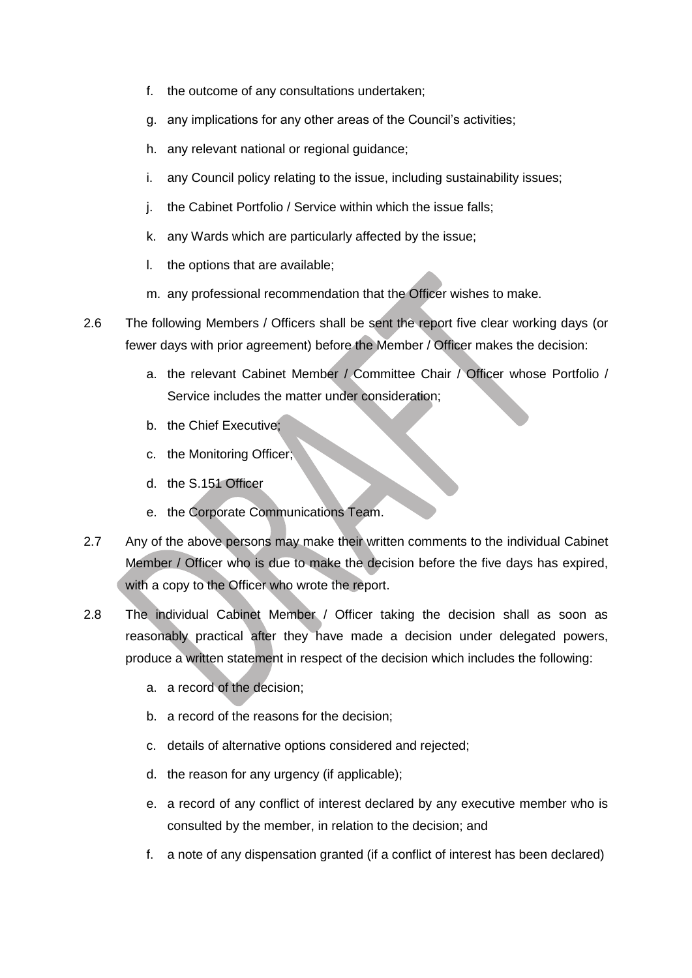- f. the outcome of any consultations undertaken;
- g. any implications for any other areas of the Council's activities;
- h. any relevant national or regional guidance:
- i. any Council policy relating to the issue, including sustainability issues;
- j. the Cabinet Portfolio / Service within which the issue falls;
- k. any Wards which are particularly affected by the issue;
- l. the options that are available;
- m. any professional recommendation that the Officer wishes to make.
- 2.6 The following Members / Officers shall be sent the report five clear working days (or fewer days with prior agreement) before the Member / Officer makes the decision:
	- a. the relevant Cabinet Member / Committee Chair / Officer whose Portfolio / Service includes the matter under consideration;
	- b. the Chief Executive;
	- c. the Monitoring Officer;
	- d. the S.151 Officer
	- e. the Corporate Communications Team.
- 2.7 Any of the above persons may make their written comments to the individual Cabinet Member / Officer who is due to make the decision before the five days has expired, with a copy to the Officer who wrote the report.
- 2.8 The individual Cabinet Member / Officer taking the decision shall as soon as reasonably practical after they have made a decision under delegated powers, produce a written statement in respect of the decision which includes the following:
	- a. a record of the decision;
	- b. a record of the reasons for the decision;
	- c. details of alternative options considered and rejected;
	- d. the reason for any urgency (if applicable);
	- e. a record of any conflict of interest declared by any executive member who is consulted by the member, in relation to the decision; and
	- f. a note of any dispensation granted (if a conflict of interest has been declared)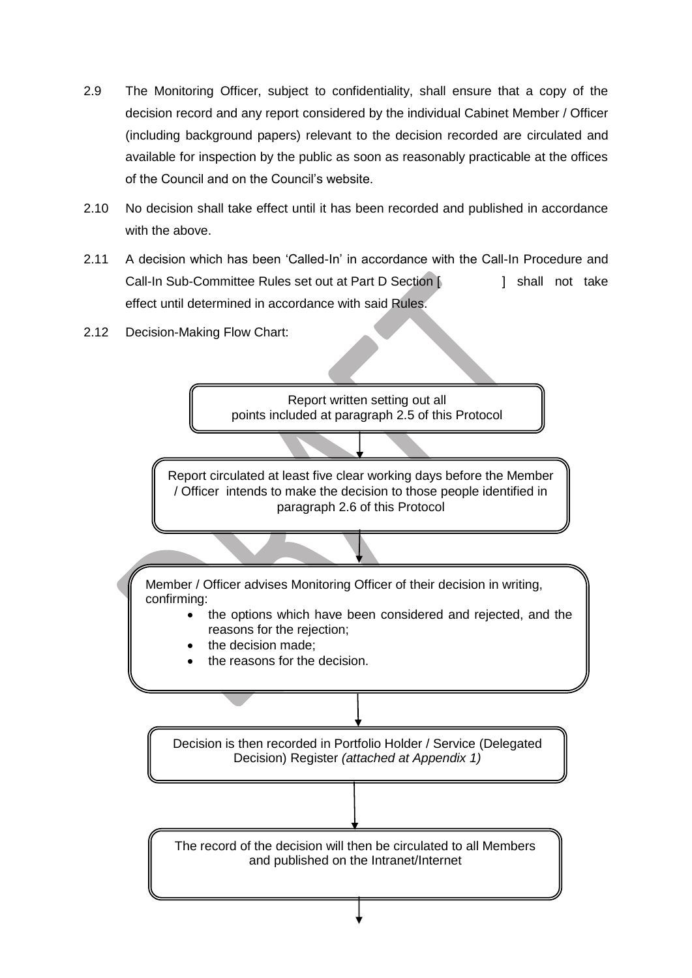- 2.9 The Monitoring Officer, subject to confidentiality, shall ensure that a copy of the decision record and any report considered by the individual Cabinet Member / Officer (including background papers) relevant to the decision recorded are circulated and available for inspection by the public as soon as reasonably practicable at the offices of the Council and on the Council's website.
- 2.10 No decision shall take effect until it has been recorded and published in accordance with the above.
- 2.11 A decision which has been 'Called-In' in accordance with the Call-In Procedure and Call-In Sub-Committee Rules set out at Part D Section [  $\vert$  shall not take effect until determined in accordance with said Rules.
- 2.12 Decision-Making Flow Chart: